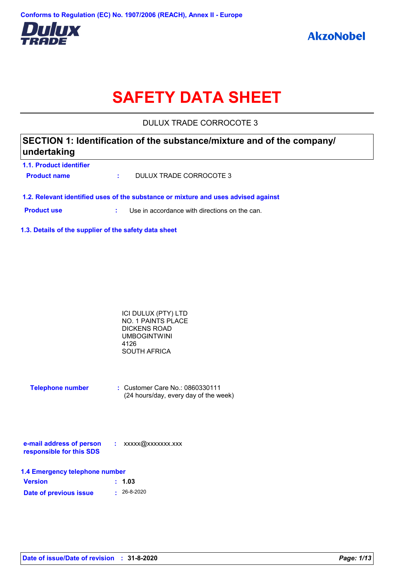

# **SAFETY DATA SHEET**

DULUX TRADE CORROCOTE 3

### **SECTION 1: Identification of the substance/mixture and of the company/ undertaking**

**1.1. Product identifier Product name :** DULUX TRADE CORROCOTE 3

**1.2. Relevant identified uses of the substance or mixture and uses advised against**

**Product use <b>:** Use in accordance with directions on the can.

**1.3. Details of the supplier of the safety data sheet**

| ICI DULUX (PTY) LTD |  |
|---------------------|--|
| NO. 1 PAINTS PLACE  |  |
| DICKENS ROAD        |  |
| UMBOGINTWINI        |  |
| 4126                |  |
| SOUTH AFRICA        |  |

| <b>Telephone number</b> | $\therefore$ Customer Care No.: 0860330111 |  |  |
|-------------------------|--------------------------------------------|--|--|
|                         | (24 hours/day, every day of the week)      |  |  |

| e-mail address of person | xxxxx@xxxxxxx.xxx |
|--------------------------|-------------------|
| responsible for this SDS |                   |

| 1.4 Emergency telephone number |                   |  |  |
|--------------------------------|-------------------|--|--|
| <b>Version</b>                 | : 1.03            |  |  |
| Date of previous issue         | $\cdot$ 26-8-2020 |  |  |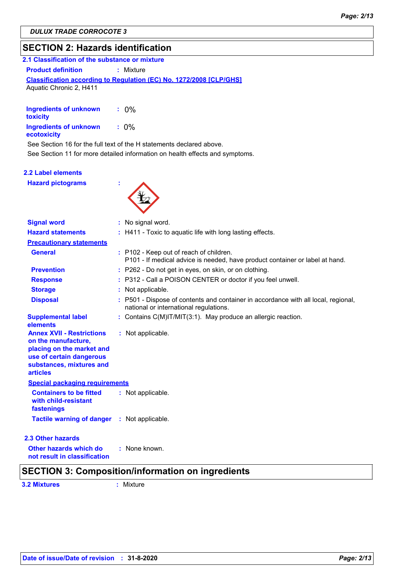### **SECTION 2: Hazards identification**

| 2.1 Classification of the substance or mixture |                                                                            |  |
|------------------------------------------------|----------------------------------------------------------------------------|--|
| <b>Product definition</b>                      | : Mixture                                                                  |  |
|                                                | <b>Classification according to Regulation (EC) No. 1272/2008 [CLP/GHS]</b> |  |
| Aguatic Chronic 2, H411                        |                                                                            |  |

| Ingredients of unknown<br>toxicity    | $: 0\%$ |
|---------------------------------------|---------|
| Ingredients of unknown<br>ecotoxicity | $: 0\%$ |

See Section 16 for the full text of the H statements declared above.

See Section 11 for more detailed information on health effects and symptoms.

#### **2.2 Label elements**

**Hazard pictograms :**



| <b>Signal word</b>                                                                                                                                              | : No signal word.                                                                                                            |  |
|-----------------------------------------------------------------------------------------------------------------------------------------------------------------|------------------------------------------------------------------------------------------------------------------------------|--|
| <b>Hazard statements</b>                                                                                                                                        | : H411 - Toxic to aquatic life with long lasting effects.                                                                    |  |
| <b>Precautionary statements</b>                                                                                                                                 |                                                                                                                              |  |
| <b>General</b>                                                                                                                                                  | : P102 - Keep out of reach of children.<br>P101 - If medical advice is needed, have product container or label at hand.      |  |
| <b>Prevention</b>                                                                                                                                               | : P262 - Do not get in eyes, on skin, or on clothing.                                                                        |  |
| <b>Response</b>                                                                                                                                                 | : P312 - Call a POISON CENTER or doctor if you feel unwell.                                                                  |  |
| <b>Storage</b>                                                                                                                                                  | : Not applicable.                                                                                                            |  |
| <b>Disposal</b>                                                                                                                                                 | : P501 - Dispose of contents and container in accordance with all local, regional,<br>national or international regulations. |  |
| <b>Supplemental label</b><br>elements                                                                                                                           | : Contains C(M)IT/MIT(3:1). May produce an allergic reaction.                                                                |  |
| <b>Annex XVII - Restrictions</b><br>on the manufacture,<br>placing on the market and<br>use of certain dangerous<br>substances, mixtures and<br><b>articles</b> | : Not applicable.                                                                                                            |  |
| <b>Special packaging requirements</b>                                                                                                                           |                                                                                                                              |  |
| <b>Containers to be fitted</b><br>with child-resistant<br>fastenings                                                                                            | : Not applicable.                                                                                                            |  |
| <b>Tactile warning of danger : Not applicable.</b>                                                                                                              |                                                                                                                              |  |
| 2.3 Other hazards                                                                                                                                               |                                                                                                                              |  |
| Other hazards which do<br>not result in classification                                                                                                          | : None known.                                                                                                                |  |
|                                                                                                                                                                 | <b>SECTION 3: Composition/information on ingredients</b>                                                                     |  |

**3.2 Mixtures :** Mixture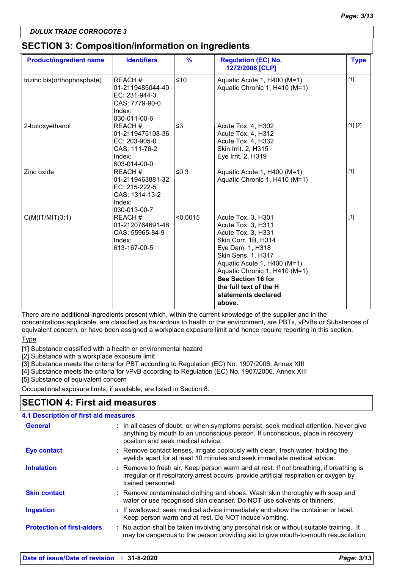### **SECTION 3: Composition/information on ingredients**

| <b>Product/ingredient name</b> | <b>Identifiers</b>                                                                         | $\frac{9}{6}$ | <b>Regulation (EC) No.</b><br>1272/2008 [CLP]                                                                                                                                                                                                                                    | <b>Type</b> |
|--------------------------------|--------------------------------------------------------------------------------------------|---------------|----------------------------------------------------------------------------------------------------------------------------------------------------------------------------------------------------------------------------------------------------------------------------------|-------------|
| trizinc bis(orthophosphate)    | REACH #:<br>01-2119485044-40<br>EC: 231-944-3<br>CAS: 7779-90-0<br>Index:<br>l030-011-00-6 | $≤10$         | Aquatic Acute 1, H400 (M=1)<br>Aquatic Chronic 1, H410 (M=1)                                                                                                                                                                                                                     | $[1]$       |
| 2-butoxyethanol                | REACH #:<br>01-2119475108-36<br>EC: 203-905-0<br>CAS: 111-76-2<br>Index:<br>603-014-00-0   | l≤3           | Acute Tox. 4, H302<br>Acute Tox. 4, H312<br>Acute Tox. 4, H332<br>Skin Irrit. 2, H315<br>Eye Irrit. 2, H319                                                                                                                                                                      | [1] [2]     |
| Zinc oxide                     | REACH #:<br>01-2119463881-32<br>EC: 215-222-5<br>CAS: 1314-13-2<br>Index:<br>030-013-00-7  | ≤0,3          | Aquatic Acute 1, H400 (M=1)<br>Aquatic Chronic 1, H410 (M=1)                                                                                                                                                                                                                     | $[1]$       |
| $C(M)$ IT/MIT $(3:1)$          | REACH #:<br>01-2120764691-48<br>CAS: 55965-84-9<br>Index:<br>613-167-00-5                  | < 0,0015      | Acute Tox. 3, H301<br>Acute Tox. 3, H311<br>Acute Tox. 3, H331<br>Skin Corr. 1B, H314<br>Eye Dam. 1, H318<br>Skin Sens. 1, H317<br>Aquatic Acute 1, H400 (M=1)<br>Aquatic Chronic 1, H410 (M=1)<br>See Section 16 for<br>the full text of the H<br>statements declared<br>above. | $[1]$       |

There are no additional ingredients present which, within the current knowledge of the supplier and in the concentrations applicable, are classified as hazardous to health or the environment, are PBTs, vPvBs or Substances of equivalent concern, or have been assigned a workplace exposure limit and hence require reporting in this section.

**Type** 

[1] Substance classified with a health or environmental hazard

[2] Substance with a workplace exposure limit

[3] Substance meets the criteria for PBT according to Regulation (EC) No. 1907/2006, Annex XIII

[4] Substance meets the criteria for vPvB according to Regulation (EC) No. 1907/2006, Annex XIII

[5] Substance of equivalent concern

Occupational exposure limits, if available, are listed in Section 8.

### **SECTION 4: First aid measures**

| <b>4.1 Description of first aid measures</b> |                                                                                                                                                                                                             |
|----------------------------------------------|-------------------------------------------------------------------------------------------------------------------------------------------------------------------------------------------------------------|
| <b>General</b>                               | : In all cases of doubt, or when symptoms persist, seek medical attention. Never give<br>anything by mouth to an unconscious person. If unconscious, place in recovery<br>position and seek medical advice. |
| <b>Eye contact</b>                           | : Remove contact lenses, irrigate copiously with clean, fresh water, holding the<br>eyelids apart for at least 10 minutes and seek immediate medical advice.                                                |
| <b>Inhalation</b>                            | : Remove to fresh air. Keep person warm and at rest. If not breathing, if breathing is<br>irregular or if respiratory arrest occurs, provide artificial respiration or oxygen by<br>trained personnel.      |
| <b>Skin contact</b>                          | : Remove contaminated clothing and shoes. Wash skin thoroughly with soap and<br>water or use recognised skin cleanser. Do NOT use solvents or thinners.                                                     |
| <b>Ingestion</b>                             | : If swallowed, seek medical advice immediately and show the container or label.<br>Keep person warm and at rest. Do NOT induce vomiting.                                                                   |
| <b>Protection of first-aiders</b>            | : No action shall be taken involving any personal risk or without suitable training. It<br>may be dangerous to the person providing aid to give mouth-to-mouth resuscitation.                               |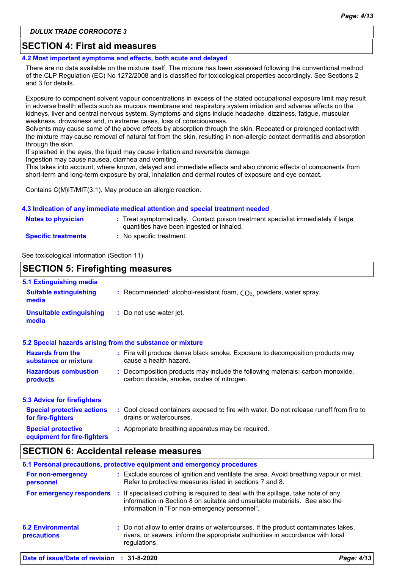### **SECTION 4: First aid measures**

**4.2 Most important symptoms and effects, both acute and delayed**

There are no data available on the mixture itself. The mixture has been assessed following the conventional method of the CLP Regulation (EC) No 1272/2008 and is classified for toxicological properties accordingly. See Sections 2 and 3 for details.

Exposure to component solvent vapour concentrations in excess of the stated occupational exposure limit may result in adverse health effects such as mucous membrane and respiratory system irritation and adverse effects on the kidneys, liver and central nervous system. Symptoms and signs include headache, dizziness, fatigue, muscular weakness, drowsiness and, in extreme cases, loss of consciousness.

Solvents may cause some of the above effects by absorption through the skin. Repeated or prolonged contact with the mixture may cause removal of natural fat from the skin, resulting in non-allergic contact dermatitis and absorption through the skin.

If splashed in the eyes, the liquid may cause irritation and reversible damage. Ingestion may cause nausea, diarrhea and vomiting.

This takes into account, where known, delayed and immediate effects and also chronic effects of components from short-term and long-term exposure by oral, inhalation and dermal routes of exposure and eye contact.

Contains C(M)IT/MIT(3:1). May produce an allergic reaction.

### **4.3 Indication of any immediate medical attention and special treatment needed**

| <b>Notes to physician</b>  | : Treat symptomatically. Contact poison treatment specialist immediately if large<br>quantities have been ingested or inhaled. |
|----------------------------|--------------------------------------------------------------------------------------------------------------------------------|
| <b>Specific treatments</b> | : No specific treatment.                                                                                                       |

See toxicological information (Section 11)

| <b>SECTION 5: Firefighting measures</b>                           |                                                                                                                              |
|-------------------------------------------------------------------|------------------------------------------------------------------------------------------------------------------------------|
| 5.1 Extinguishing media<br><b>Suitable extinguishing</b><br>media | : Recommended: alcohol-resistant foam, $CO2$ , powders, water spray.                                                         |
| <b>Unsuitable extinguishing</b><br>media                          | : Do not use water jet.                                                                                                      |
|                                                                   | 5.2 Special hazards arising from the substance or mixture                                                                    |
| <b>Hazards from the</b><br>substance or mixture                   | : Fire will produce dense black smoke. Exposure to decomposition products may<br>cause a health hazard.                      |
| <b>Hazardous combustion</b><br>products                           | : Decomposition products may include the following materials: carbon monoxide,<br>carbon dioxide, smoke, oxides of nitrogen. |
| <b>5.3 Advice for firefighters</b>                                |                                                                                                                              |
| <b>Special protective actions</b><br>for fire-fighters            | : Cool closed containers exposed to fire with water. Do not release runoff from fire to<br>drains or watercourses.           |
| <b>Special protective</b><br>equipment for fire-fighters          | : Appropriate breathing apparatus may be required.                                                                           |

### **SECTION 6: Accidental release measures**

|                                                | 6.1 Personal precautions, protective equipment and emergency procedures                                                                                                                                               |            |
|------------------------------------------------|-----------------------------------------------------------------------------------------------------------------------------------------------------------------------------------------------------------------------|------------|
| For non-emergency<br>personnel                 | : Exclude sources of ignition and ventilate the area. Avoid breathing vapour or mist.<br>Refer to protective measures listed in sections 7 and 8.                                                                     |            |
| For emergency responders                       | If specialised clothing is required to deal with the spillage, take note of any<br>И.<br>information in Section 8 on suitable and unsuitable materials. See also the<br>information in "For non-emergency personnel". |            |
| <b>6.2 Environmental</b><br><b>precautions</b> | : Do not allow to enter drains or watercourses. If the product contaminates lakes,<br>rivers, or sewers, inform the appropriate authorities in accordance with local<br>regulations.                                  |            |
| Date of issue/Date of revision : 31-8-2020     |                                                                                                                                                                                                                       | Page: 4/13 |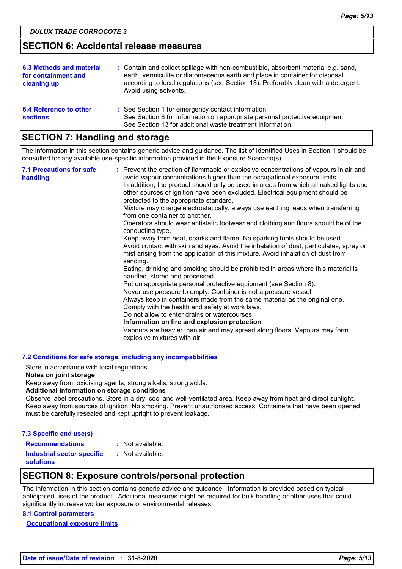### **SECTION 6: Accidental release measures**

| 6.3 Methods and material<br>for containment and<br>cleaning up | : Contain and collect spillage with non-combustible, absorbent material e.g. sand,<br>earth, vermiculite or diatomaceous earth and place in container for disposal<br>according to local regulations (see Section 13). Preferably clean with a detergent.<br>Avoid using solvents. |
|----------------------------------------------------------------|------------------------------------------------------------------------------------------------------------------------------------------------------------------------------------------------------------------------------------------------------------------------------------|
| 6.4 Reference to other<br><b>sections</b>                      | : See Section 1 for emergency contact information.<br>See Section 8 for information on appropriate personal protective equipment.<br>See Section 13 for additional waste treatment information.                                                                                    |

### **SECTION 7: Handling and storage**

The information in this section contains generic advice and guidance. The list of Identified Uses in Section 1 should be consulted for any available use-specific information provided in the Exposure Scenario(s).

| <b>7.1 Precautions for safe</b><br>handling | : Prevent the creation of flammable or explosive concentrations of vapours in air and<br>avoid vapour concentrations higher than the occupational exposure limits.<br>In addition, the product should only be used in areas from which all naked lights and<br>other sources of ignition have been excluded. Electrical equipment should be<br>protected to the appropriate standard.<br>Mixture may charge electrostatically: always use earthing leads when transferring<br>from one container to another.<br>Operators should wear antistatic footwear and clothing and floors should be of the<br>conducting type.<br>Keep away from heat, sparks and flame. No sparking tools should be used.<br>Avoid contact with skin and eyes. Avoid the inhalation of dust, particulates, spray or<br>mist arising from the application of this mixture. Avoid inhalation of dust from<br>sanding.<br>Eating, drinking and smoking should be prohibited in areas where this material is<br>handled, stored and processed.<br>Put on appropriate personal protective equipment (see Section 8).<br>Never use pressure to empty. Container is not a pressure vessel.<br>Always keep in containers made from the same material as the original one.<br>Comply with the health and safety at work laws.<br>Do not allow to enter drains or watercourses.<br>Information on fire and explosion protection<br>Vapours are heavier than air and may spread along floors. Vapours may form<br>explosive mixtures with air. |
|---------------------------------------------|--------------------------------------------------------------------------------------------------------------------------------------------------------------------------------------------------------------------------------------------------------------------------------------------------------------------------------------------------------------------------------------------------------------------------------------------------------------------------------------------------------------------------------------------------------------------------------------------------------------------------------------------------------------------------------------------------------------------------------------------------------------------------------------------------------------------------------------------------------------------------------------------------------------------------------------------------------------------------------------------------------------------------------------------------------------------------------------------------------------------------------------------------------------------------------------------------------------------------------------------------------------------------------------------------------------------------------------------------------------------------------------------------------------------------------------------------------------------------------------------------------------|
|---------------------------------------------|--------------------------------------------------------------------------------------------------------------------------------------------------------------------------------------------------------------------------------------------------------------------------------------------------------------------------------------------------------------------------------------------------------------------------------------------------------------------------------------------------------------------------------------------------------------------------------------------------------------------------------------------------------------------------------------------------------------------------------------------------------------------------------------------------------------------------------------------------------------------------------------------------------------------------------------------------------------------------------------------------------------------------------------------------------------------------------------------------------------------------------------------------------------------------------------------------------------------------------------------------------------------------------------------------------------------------------------------------------------------------------------------------------------------------------------------------------------------------------------------------------------|

#### **7.2 Conditions for safe storage, including any incompatibilities**

Store in accordance with local regulations.

#### **Notes on joint storage**

Keep away from: oxidising agents, strong alkalis, strong acids.

#### **Additional information on storage conditions**

Observe label precautions. Store in a dry, cool and well-ventilated area. Keep away from heat and direct sunlight. Keep away from sources of ignition. No smoking. Prevent unauthorised access. Containers that have been opened must be carefully resealed and kept upright to prevent leakage.

#### **7.3 Specific end use(s)**

| <b>Recommendations</b>     | : Not available. |
|----------------------------|------------------|
| Industrial sector specific | : Not available. |
| <b>solutions</b>           |                  |

### **SECTION 8: Exposure controls/personal protection**

The information in this section contains generic advice and guidance. Information is provided based on typical anticipated uses of the product. Additional measures might be required for bulk handling or other uses that could significantly increase worker exposure or environmental releases.

#### **8.1 Control parameters**

**Occupational exposure limits**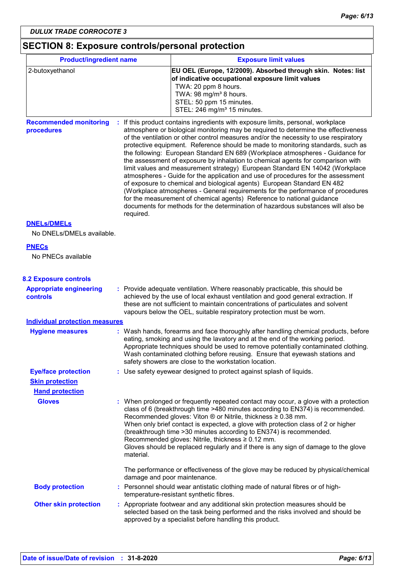## **SECTION 8: Exposure controls/personal protection**

| <b>Product/ingredient name</b>                    |                              | <b>Exposure limit values</b>                                                                                                                                                                                                                                                                                                                                                                                                                                                                                                                                                                                                                                                                                                                                                                                                                                                                                                                                                                                          |  |  |
|---------------------------------------------------|------------------------------|-----------------------------------------------------------------------------------------------------------------------------------------------------------------------------------------------------------------------------------------------------------------------------------------------------------------------------------------------------------------------------------------------------------------------------------------------------------------------------------------------------------------------------------------------------------------------------------------------------------------------------------------------------------------------------------------------------------------------------------------------------------------------------------------------------------------------------------------------------------------------------------------------------------------------------------------------------------------------------------------------------------------------|--|--|
| 2-butoxyethanol                                   |                              | EU OEL (Europe, 12/2009). Absorbed through skin. Notes: list<br>of indicative occupational exposure limit values                                                                                                                                                                                                                                                                                                                                                                                                                                                                                                                                                                                                                                                                                                                                                                                                                                                                                                      |  |  |
|                                                   |                              | TWA: 20 ppm 8 hours.                                                                                                                                                                                                                                                                                                                                                                                                                                                                                                                                                                                                                                                                                                                                                                                                                                                                                                                                                                                                  |  |  |
|                                                   |                              | TWA: 98 mg/m <sup>3</sup> 8 hours.<br>STEL: 50 ppm 15 minutes.                                                                                                                                                                                                                                                                                                                                                                                                                                                                                                                                                                                                                                                                                                                                                                                                                                                                                                                                                        |  |  |
|                                                   |                              | STEL: 246 mg/m <sup>3</sup> 15 minutes.                                                                                                                                                                                                                                                                                                                                                                                                                                                                                                                                                                                                                                                                                                                                                                                                                                                                                                                                                                               |  |  |
| <b>Recommended monitoring</b><br>procedures       | required.                    | : If this product contains ingredients with exposure limits, personal, workplace<br>atmosphere or biological monitoring may be required to determine the effectiveness<br>of the ventilation or other control measures and/or the necessity to use respiratory<br>protective equipment. Reference should be made to monitoring standards, such as<br>the following: European Standard EN 689 (Workplace atmospheres - Guidance for<br>the assessment of exposure by inhalation to chemical agents for comparison with<br>limit values and measurement strategy) European Standard EN 14042 (Workplace<br>atmospheres - Guide for the application and use of procedures for the assessment<br>of exposure to chemical and biological agents) European Standard EN 482<br>(Workplace atmospheres - General requirements for the performance of procedures<br>for the measurement of chemical agents) Reference to national guidance<br>documents for methods for the determination of hazardous substances will also be |  |  |
| <b>DNELS/DMELS</b><br>No DNELs/DMELs available.   |                              |                                                                                                                                                                                                                                                                                                                                                                                                                                                                                                                                                                                                                                                                                                                                                                                                                                                                                                                                                                                                                       |  |  |
| <b>PNECs</b>                                      |                              |                                                                                                                                                                                                                                                                                                                                                                                                                                                                                                                                                                                                                                                                                                                                                                                                                                                                                                                                                                                                                       |  |  |
| No PNECs available                                |                              |                                                                                                                                                                                                                                                                                                                                                                                                                                                                                                                                                                                                                                                                                                                                                                                                                                                                                                                                                                                                                       |  |  |
| <b>8.2 Exposure controls</b>                      |                              |                                                                                                                                                                                                                                                                                                                                                                                                                                                                                                                                                                                                                                                                                                                                                                                                                                                                                                                                                                                                                       |  |  |
| <b>Appropriate engineering</b><br><b>controls</b> |                              | : Provide adequate ventilation. Where reasonably practicable, this should be<br>achieved by the use of local exhaust ventilation and good general extraction. If<br>these are not sufficient to maintain concentrations of particulates and solvent<br>vapours below the OEL, suitable respiratory protection must be worn.                                                                                                                                                                                                                                                                                                                                                                                                                                                                                                                                                                                                                                                                                           |  |  |
| <b>Individual protection measures</b>             |                              |                                                                                                                                                                                                                                                                                                                                                                                                                                                                                                                                                                                                                                                                                                                                                                                                                                                                                                                                                                                                                       |  |  |
| <b>Hygiene measures</b>                           |                              | : Wash hands, forearms and face thoroughly after handling chemical products, before<br>eating, smoking and using the lavatory and at the end of the working period.<br>Appropriate techniques should be used to remove potentially contaminated clothing.<br>Wash contaminated clothing before reusing. Ensure that eyewash stations and<br>safety showers are close to the workstation location.                                                                                                                                                                                                                                                                                                                                                                                                                                                                                                                                                                                                                     |  |  |
| <b>Eye/face protection</b>                        |                              | : Use safety eyewear designed to protect against splash of liquids.                                                                                                                                                                                                                                                                                                                                                                                                                                                                                                                                                                                                                                                                                                                                                                                                                                                                                                                                                   |  |  |
| <b>Skin protection</b>                            |                              |                                                                                                                                                                                                                                                                                                                                                                                                                                                                                                                                                                                                                                                                                                                                                                                                                                                                                                                                                                                                                       |  |  |
| <b>Hand protection</b>                            |                              |                                                                                                                                                                                                                                                                                                                                                                                                                                                                                                                                                                                                                                                                                                                                                                                                                                                                                                                                                                                                                       |  |  |
| <b>Gloves</b>                                     | material.                    | : When prolonged or frequently repeated contact may occur, a glove with a protection<br>class of 6 (breakthrough time >480 minutes according to EN374) is recommended.<br>Recommended gloves: Viton $\otimes$ or Nitrile, thickness $\geq 0.38$ mm.<br>When only brief contact is expected, a glove with protection class of 2 or higher<br>(breakthrough time > 30 minutes according to EN374) is recommended.<br>Recommended gloves: Nitrile, thickness ≥ 0.12 mm.<br>Gloves should be replaced regularly and if there is any sign of damage to the glove                                                                                                                                                                                                                                                                                                                                                                                                                                                           |  |  |
|                                                   | damage and poor maintenance. | The performance or effectiveness of the glove may be reduced by physical/chemical                                                                                                                                                                                                                                                                                                                                                                                                                                                                                                                                                                                                                                                                                                                                                                                                                                                                                                                                     |  |  |
| <b>Body protection</b>                            |                              | : Personnel should wear antistatic clothing made of natural fibres or of high-<br>temperature-resistant synthetic fibres.                                                                                                                                                                                                                                                                                                                                                                                                                                                                                                                                                                                                                                                                                                                                                                                                                                                                                             |  |  |
| <b>Other skin protection</b>                      |                              | : Appropriate footwear and any additional skin protection measures should be<br>selected based on the task being performed and the risks involved and should be<br>approved by a specialist before handling this product.                                                                                                                                                                                                                                                                                                                                                                                                                                                                                                                                                                                                                                                                                                                                                                                             |  |  |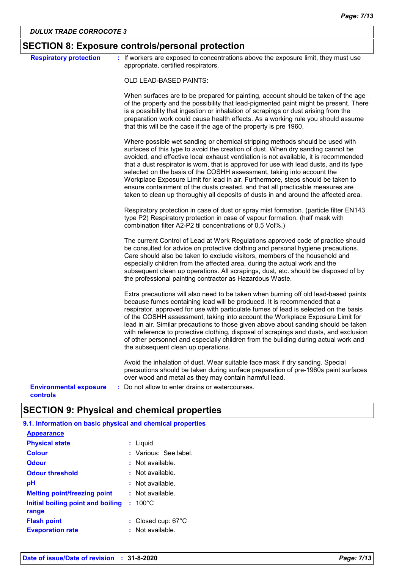|                                           | <b>SECTION 8: Exposure controls/personal protection</b>                                                                                                                                                                                                                                                                                                                                                                                                                                                                                                                                                                                                                                 |
|-------------------------------------------|-----------------------------------------------------------------------------------------------------------------------------------------------------------------------------------------------------------------------------------------------------------------------------------------------------------------------------------------------------------------------------------------------------------------------------------------------------------------------------------------------------------------------------------------------------------------------------------------------------------------------------------------------------------------------------------------|
| <b>Respiratory protection</b>             | : If workers are exposed to concentrations above the exposure limit, they must use<br>appropriate, certified respirators.                                                                                                                                                                                                                                                                                                                                                                                                                                                                                                                                                               |
|                                           | OLD LEAD-BASED PAINTS:                                                                                                                                                                                                                                                                                                                                                                                                                                                                                                                                                                                                                                                                  |
|                                           | When surfaces are to be prepared for painting, account should be taken of the age<br>of the property and the possibility that lead-pigmented paint might be present. There<br>is a possibility that ingestion or inhalation of scrapings or dust arising from the<br>preparation work could cause health effects. As a working rule you should assume<br>that this will be the case if the age of the property is pre 1960.                                                                                                                                                                                                                                                             |
|                                           | Where possible wet sanding or chemical stripping methods should be used with<br>surfaces of this type to avoid the creation of dust. When dry sanding cannot be<br>avoided, and effective local exhaust ventilation is not available, it is recommended<br>that a dust respirator is worn, that is approved for use with lead dusts, and its type<br>selected on the basis of the COSHH assessment, taking into account the<br>Workplace Exposure Limit for lead in air. Furthermore, steps should be taken to<br>ensure containment of the dusts created, and that all practicable measures are<br>taken to clean up thoroughly all deposits of dusts in and around the affected area. |
|                                           | Respiratory protection in case of dust or spray mist formation. (particle filter EN143<br>type P2) Respiratory protection in case of vapour formation. (half mask with<br>combination filter A2-P2 til concentrations of 0,5 Vol%.)                                                                                                                                                                                                                                                                                                                                                                                                                                                     |
|                                           | The current Control of Lead at Work Regulations approved code of practice should<br>be consulted for advice on protective clothing and personal hygiene precautions.<br>Care should also be taken to exclude visitors, members of the household and<br>especially children from the affected area, during the actual work and the<br>subsequent clean up operations. All scrapings, dust, etc. should be disposed of by<br>the professional painting contractor as Hazardous Waste.                                                                                                                                                                                                     |
|                                           | Extra precautions will also need to be taken when burning off old lead-based paints<br>because fumes containing lead will be produced. It is recommended that a<br>respirator, approved for use with particulate fumes of lead is selected on the basis<br>of the COSHH assessment, taking into account the Workplace Exposure Limit for<br>lead in air. Similar precautions to those given above about sanding should be taken<br>with reference to protective clothing, disposal of scrapings and dusts, and exclusion<br>of other personnel and especially children from the building during actual work and<br>the subsequent clean up operations.                                  |
|                                           | Avoid the inhalation of dust. Wear suitable face mask if dry sanding. Special<br>precautions should be taken during surface preparation of pre-1960s paint surfaces<br>over wood and metal as they may contain harmful lead.                                                                                                                                                                                                                                                                                                                                                                                                                                                            |
| <b>Environmental exposure</b><br>controls | : Do not allow to enter drains or watercourses.                                                                                                                                                                                                                                                                                                                                                                                                                                                                                                                                                                                                                                         |

## **SECTION 9: Physical and chemical properties**

| 9.1. Information on basic physical and chemical properties |  |  |  |  |  |
|------------------------------------------------------------|--|--|--|--|--|
|                                                            |  |  |  |  |  |
| : Liguid.                                                  |  |  |  |  |  |
| : Various: See label.                                      |  |  |  |  |  |
| : Not available.                                           |  |  |  |  |  |
| : Not available.                                           |  |  |  |  |  |
| $:$ Not available.                                         |  |  |  |  |  |
| $:$ Not available.                                         |  |  |  |  |  |
| $: 100^{\circ}$ C<br>Initial boiling point and boiling     |  |  |  |  |  |
| : Closed cup: 67°C                                         |  |  |  |  |  |
| $:$ Not available.                                         |  |  |  |  |  |
|                                                            |  |  |  |  |  |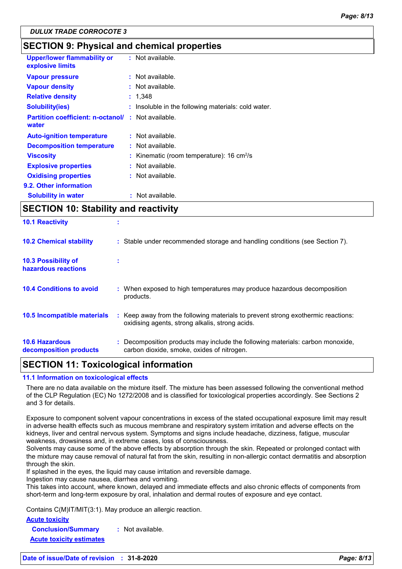### **SECTION 9: Physical and chemical properties**

| <b>Upper/lower flammability or</b><br>explosive limits | : Not available.                                           |
|--------------------------------------------------------|------------------------------------------------------------|
| <b>Vapour pressure</b>                                 | $:$ Not available.                                         |
| <b>Vapour density</b>                                  | $:$ Not available.                                         |
| <b>Relative density</b>                                | : 1,348                                                    |
| <b>Solubility(ies)</b>                                 | Insoluble in the following materials: cold water.          |
| <b>Partition coefficient: n-octanol/</b><br>water      | $:$ Not available.                                         |
| <b>Auto-ignition temperature</b>                       | $:$ Not available.                                         |
| <b>Decomposition temperature</b>                       | : Not available.                                           |
| <b>Viscosity</b>                                       | : Kinematic (room temperature): $16 \text{ cm}^2/\text{s}$ |
| <b>Explosive properties</b>                            | : Not available.                                           |
| <b>Oxidising properties</b>                            | : Not available.                                           |
| 9.2. Other information                                 |                                                            |
| <b>Solubility in water</b>                             | Not available.                                             |

### **SECTION 10: Stability and reactivity**

| <b>10.6 Hazardous</b><br>decomposition products   | : Decomposition products may include the following materials: carbon monoxide,<br>carbon dioxide, smoke, oxides of nitrogen.        |
|---------------------------------------------------|-------------------------------------------------------------------------------------------------------------------------------------|
| 10.5 Incompatible materials                       | : Keep away from the following materials to prevent strong exothermic reactions:<br>oxidising agents, strong alkalis, strong acids. |
| <b>10.4 Conditions to avoid</b>                   | : When exposed to high temperatures may produce hazardous decomposition<br>products.                                                |
| <b>10.3 Possibility of</b><br>hazardous reactions |                                                                                                                                     |
| <b>10.2 Chemical stability</b>                    | : Stable under recommended storage and handling conditions (see Section 7).                                                         |
| <b>10.1 Reactivity</b>                            |                                                                                                                                     |

### **SECTION 11: Toxicological information**

#### **11.1 Information on toxicological effects**

There are no data available on the mixture itself. The mixture has been assessed following the conventional method of the CLP Regulation (EC) No 1272/2008 and is classified for toxicological properties accordingly. See Sections 2 and 3 for details.

Exposure to component solvent vapour concentrations in excess of the stated occupational exposure limit may result in adverse health effects such as mucous membrane and respiratory system irritation and adverse effects on the kidneys, liver and central nervous system. Symptoms and signs include headache, dizziness, fatigue, muscular weakness, drowsiness and, in extreme cases, loss of consciousness.

Solvents may cause some of the above effects by absorption through the skin. Repeated or prolonged contact with the mixture may cause removal of natural fat from the skin, resulting in non-allergic contact dermatitis and absorption through the skin.

If splashed in the eyes, the liquid may cause irritation and reversible damage.

Ingestion may cause nausea, diarrhea and vomiting.

This takes into account, where known, delayed and immediate effects and also chronic effects of components from short-term and long-term exposure by oral, inhalation and dermal routes of exposure and eye contact.

Contains C(M)IT/MIT(3:1). May produce an allergic reaction.

**Acute toxicity**

**Conclusion/Summary :** Not available. **Acute toxicity estimates**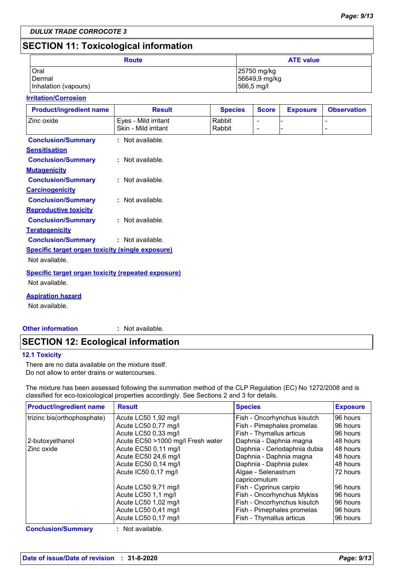### **SECTION 11: Toxicological information**

| <b>Route</b>         | <b>ATE value</b> |
|----------------------|------------------|
| Oral                 | 25750 mg/kg      |
| Dermal               | 56649,9 mg/kg    |
| Inhalation (vapours) | 566,5 mg/l       |

#### **Irritation/Corrosion**

| <b>Product/ingredient name</b>                            | <b>Result</b>        | <b>Species</b> | <b>Score</b>             | <b>Exposure</b> | <b>Observation</b> |
|-----------------------------------------------------------|----------------------|----------------|--------------------------|-----------------|--------------------|
| Zinc oxide                                                | Eyes - Mild irritant | Rabbit         | $\overline{\phantom{a}}$ |                 |                    |
|                                                           | Skin - Mild irritant | Rabbit         | $\overline{\phantom{a}}$ |                 |                    |
| <b>Conclusion/Summary</b>                                 | : Not available.     |                |                          |                 |                    |
| <b>Sensitisation</b>                                      |                      |                |                          |                 |                    |
| <b>Conclusion/Summary</b>                                 | : Not available.     |                |                          |                 |                    |
| <b>Mutagenicity</b>                                       |                      |                |                          |                 |                    |
| <b>Conclusion/Summary</b>                                 | : Not available.     |                |                          |                 |                    |
| <b>Carcinogenicity</b>                                    |                      |                |                          |                 |                    |
| <b>Conclusion/Summary</b>                                 | : Not available.     |                |                          |                 |                    |
| <b>Reproductive toxicity</b>                              |                      |                |                          |                 |                    |
| <b>Conclusion/Summary</b>                                 | : Not available.     |                |                          |                 |                    |
| <b>Teratogenicity</b>                                     |                      |                |                          |                 |                    |
| <b>Conclusion/Summary</b>                                 | : Not available.     |                |                          |                 |                    |
| <b>Specific target organ toxicity (single exposure)</b>   |                      |                |                          |                 |                    |
| Not available.                                            |                      |                |                          |                 |                    |
| <b>Specific target organ toxicity (repeated exposure)</b> |                      |                |                          |                 |                    |
| Not available.                                            |                      |                |                          |                 |                    |
|                                                           |                      |                |                          |                 |                    |
| <b>Aspiration hazard</b>                                  |                      |                |                          |                 |                    |
| Not available.                                            |                      |                |                          |                 |                    |

**Other information :**

: Not available.

### **SECTION 12: Ecological information**

#### **12.1 Toxicity**

There are no data available on the mixture itself. Do not allow to enter drains or watercourses.

The mixture has been assessed following the summation method of the CLP Regulation (EC) No 1272/2008 and is classified for eco-toxicological properties accordingly. See Sections 2 and 3 for details.

| <b>Product/ingredient name</b> | <b>Result</b>                     | <b>Species</b>                       | <b>Exposure</b> |
|--------------------------------|-----------------------------------|--------------------------------------|-----------------|
| trizinc bis(orthophosphate)    | Acute LC50 1,92 mg/l              | Fish - Oncorhynchus kisutch          | 96 hours        |
|                                | Acute LC50 0,77 mg/l              | Fish - Pimephales promelas           | 96 hours        |
|                                | Acute LC50 0,33 mg/l              | Fish - Thymallus articus             | 96 hours        |
| 2-butoxyethanol                | Acute EC50 >1000 mg/l Fresh water | Daphnia - Daphnia magna              | 48 hours        |
| Zinc oxide                     | Acute EC50 0,11 mg/l              | Daphnia - Ceriodaphnia dubia         | 48 hours        |
|                                | Acute EC50 24,6 mg/l              | Daphnia - Daphnia magna              | 48 hours        |
|                                | Acute EC50 0,14 mg/l              | Daphnia - Daphnia pulex              | 48 hours        |
|                                | Acute IC50 0,17 mg/l              | Algae - Selenastrum<br>capricornutum | 72 hours        |
|                                | Acute LC50 9,71 mg/l              | Fish - Cyprinus carpio               | 96 hours        |
|                                | Acute LC50 1,1 mg/l               | Fish - Oncorhynchus Mykiss           | 96 hours        |
|                                | Acute LC50 1,02 mg/l              | Fish - Oncorhynchus kisutch          | 96 hours        |
|                                | Acute LC50 0,41 mg/l              | Fish - Pimephales promelas           | 96 hours        |
|                                | Acute LC50 0,17 mg/l              | Fish - Thymallus articus             | 96 hours        |

**Conclusion/Summary :** Not available.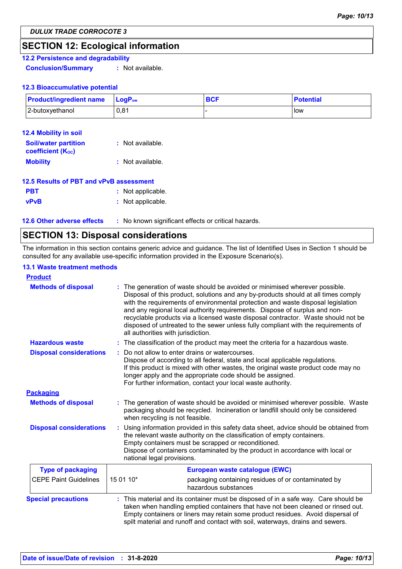### **SECTION 12: Ecological information**

### **12.2 Persistence and degradability**

**Conclusion/Summary :** Not available.

#### **12.3 Bioaccumulative potential**

| <b>Product/ingredient name</b> | $\mathsf{LogP}_\mathsf{ow}$ | <b>BCF</b> | <b>Potential</b> |
|--------------------------------|-----------------------------|------------|------------------|
| 2-butoxyethanol                | 0.81                        |            | low              |

| 12.4 Mobility in soil                                   |                  |
|---------------------------------------------------------|------------------|
| <b>Soil/water partition</b><br><b>coefficient (Koc)</b> | : Not available. |
| <b>Mobility</b>                                         | : Not available. |
| 12.5 Results of PBT and vPvB assessment                 |                  |
|                                                         |                  |

| <b>PBT</b>  | : Not applicable. |
|-------------|-------------------|
| <b>vPvB</b> | : Not applicable. |

**12.6 Other adverse effects** : No known significant effects or critical hazards.

### **SECTION 13: Disposal considerations**

The information in this section contains generic advice and guidance. The list of Identified Uses in Section 1 should be consulted for any available use-specific information provided in the Exposure Scenario(s).

#### **13.1 Waste treatment methods**

| <b>Product</b>                 |                                                                                                                                                                                                                                                                                                                                                                                                                                                                                                                                                    |  |
|--------------------------------|----------------------------------------------------------------------------------------------------------------------------------------------------------------------------------------------------------------------------------------------------------------------------------------------------------------------------------------------------------------------------------------------------------------------------------------------------------------------------------------------------------------------------------------------------|--|
| <b>Methods of disposal</b>     | The generation of waste should be avoided or minimised wherever possible.<br>Disposal of this product, solutions and any by-products should at all times comply<br>with the requirements of environmental protection and waste disposal legislation<br>and any regional local authority requirements. Dispose of surplus and non-<br>recyclable products via a licensed waste disposal contractor. Waste should not be<br>disposed of untreated to the sewer unless fully compliant with the requirements of<br>all authorities with jurisdiction. |  |
| <b>Hazardous waste</b>         | : The classification of the product may meet the criteria for a hazardous waste.                                                                                                                                                                                                                                                                                                                                                                                                                                                                   |  |
| <b>Disposal considerations</b> | Do not allow to enter drains or watercourses.<br>Dispose of according to all federal, state and local applicable regulations.<br>If this product is mixed with other wastes, the original waste product code may no<br>longer apply and the appropriate code should be assigned.<br>For further information, contact your local waste authority.                                                                                                                                                                                                   |  |
| <b>Packaging</b>               |                                                                                                                                                                                                                                                                                                                                                                                                                                                                                                                                                    |  |
| <b>Methods of disposal</b>     | : The generation of waste should be avoided or minimised wherever possible. Waste<br>packaging should be recycled. Incineration or landfill should only be considered<br>when recycling is not feasible.                                                                                                                                                                                                                                                                                                                                           |  |
| <b>Disposal considerations</b> | Using information provided in this safety data sheet, advice should be obtained from<br>the relevant waste authority on the classification of empty containers.<br>Empty containers must be scrapped or reconditioned.<br>Dispose of containers contaminated by the product in accordance with local or<br>national legal provisions.                                                                                                                                                                                                              |  |
| <b>Type of packaging</b>       | European waste catalogue (EWC)                                                                                                                                                                                                                                                                                                                                                                                                                                                                                                                     |  |
| <b>CEPE Paint Guidelines</b>   | 15 01 10*<br>packaging containing residues of or contaminated by<br>hazardous substances                                                                                                                                                                                                                                                                                                                                                                                                                                                           |  |
| <b>Special precautions</b>     | This material and its container must be disposed of in a safe way. Care should be<br>taken when handling emptied containers that have not been cleaned or rinsed out.<br>Empty containers or liners may retain some product residues. Avoid dispersal of<br>spilt material and runoff and contact with soil, waterways, drains and sewers.                                                                                                                                                                                                         |  |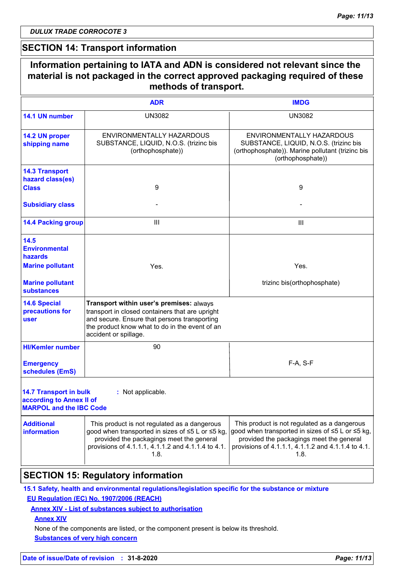### **SECTION 14: Transport information**

|                                                                                             | <b>ADR</b>                                                                                                                                                                                                             | <b>IMDG</b>                                                                                                                                                                                                |  |
|---------------------------------------------------------------------------------------------|------------------------------------------------------------------------------------------------------------------------------------------------------------------------------------------------------------------------|------------------------------------------------------------------------------------------------------------------------------------------------------------------------------------------------------------|--|
| 14.1 UN number                                                                              | <b>UN3082</b>                                                                                                                                                                                                          | <b>UN3082</b>                                                                                                                                                                                              |  |
| 14.2 UN proper<br>shipping name                                                             | ENVIRONMENTALLY HAZARDOUS<br>SUBSTANCE, LIQUID, N.O.S. (trizinc bis<br>(orthophosphate))                                                                                                                               | ENVIRONMENTALLY HAZARDOUS<br>SUBSTANCE, LIQUID, N.O.S. (trizinc bis<br>(orthophosphate)). Marine pollutant (trizinc bis<br>(orthophosphate))                                                               |  |
| <b>14.3 Transport</b>                                                                       |                                                                                                                                                                                                                        |                                                                                                                                                                                                            |  |
| hazard class(es)<br><b>Class</b>                                                            | 9                                                                                                                                                                                                                      | 9                                                                                                                                                                                                          |  |
| <b>Subsidiary class</b>                                                                     |                                                                                                                                                                                                                        |                                                                                                                                                                                                            |  |
| <b>14.4 Packing group</b>                                                                   | $\mathbf{III}$                                                                                                                                                                                                         | III                                                                                                                                                                                                        |  |
| 14.5<br><b>Environmental</b><br>hazards                                                     |                                                                                                                                                                                                                        |                                                                                                                                                                                                            |  |
| <b>Marine pollutant</b>                                                                     | Yes.                                                                                                                                                                                                                   | Yes.                                                                                                                                                                                                       |  |
| <b>Marine pollutant</b><br><b>substances</b>                                                |                                                                                                                                                                                                                        | trizinc bis(orthophosphate)                                                                                                                                                                                |  |
| <b>14.6 Special</b><br>precautions for<br><b>user</b>                                       | Transport within user's premises: always<br>transport in closed containers that are upright<br>and secure. Ensure that persons transporting<br>the product know what to do in the event of an<br>accident or spillage. |                                                                                                                                                                                                            |  |
| <b>HI/Kemler number</b>                                                                     | 90                                                                                                                                                                                                                     |                                                                                                                                                                                                            |  |
| <b>Emergency</b><br>schedules (EmS)                                                         |                                                                                                                                                                                                                        | F-A, S-F                                                                                                                                                                                                   |  |
| <b>14.7 Transport in bulk</b><br>according to Annex II of<br><b>MARPOL and the IBC Code</b> | : Not applicable.                                                                                                                                                                                                      |                                                                                                                                                                                                            |  |
| <b>Additional</b><br><b>information</b>                                                     | This product is not regulated as a dangerous<br>good when transported in sizes of ≤5 L or ≤5 kg,<br>provided the packagings meet the general<br>provisions of 4.1.1.1, 4.1.1.2 and 4.1.1.4 to 4.1.<br>1.8.             | This product is not regulated as a dangerous<br>good when transported in sizes of ≤5 L or ≤5 kg,<br>provided the packagings meet the general<br>provisions of 4.1.1.1, 4.1.1.2 and 4.1.1.4 to 4.1.<br>1.8. |  |

### **SECTION 15: Regulatory information**

**15.1 Safety, health and environmental regulations/legislation specific for the substance or mixture EU Regulation (EC) No. 1907/2006 (REACH)**

#### **Annex XIV - List of substances subject to authorisation**

**Annex XIV**

**Substances of very high concern** None of the components are listed, or the component present is below its threshold.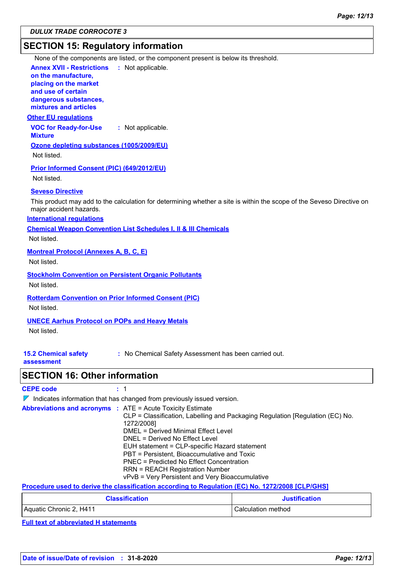### **SECTION 15: Regulatory information**

None of the components are listed, or the component present is below its threshold.

**Annex XVII - Restrictions on the manufacture, placing on the market and use of certain dangerous substances,** : Not applicable.

**mixtures and articles**

#### **Other EU regulations**

**VOC for Ready-for-Use Mixture :** Not applicable.

**Ozone depleting substances (1005/2009/EU)**

Not listed.

**Prior Informed Consent (PIC) (649/2012/EU)** Not listed.

#### **Seveso Directive**

This product may add to the calculation for determining whether a site is within the scope of the Seveso Directive on major accident hazards.

#### **International regulations**

**Chemical Weapon Convention List Schedules I, II & III Chemicals**

Not listed.

#### **Montreal Protocol (Annexes A, B, C, E)**

Not listed.

#### **Stockholm Convention on Persistent Organic Pollutants**

Not listed.

#### **Rotterdam Convention on Prior Informed Consent (PIC)**

Not listed.

#### **UNECE Aarhus Protocol on POPs and Heavy Metals**

Not listed.

### **15.2 Chemical safety**

**:** No Chemical Safety Assessment has been carried out.

**assessment**

### **SECTION 16: Other information**

| <b>CEPE code</b> |  |
|------------------|--|
|------------------|--|

 $\nabla$  Indicates information that has changed from previously issued version.

| <b>Abbreviations and acronyms : ATE = Acute Toxicity Estimate</b> |                                                                               |
|-------------------------------------------------------------------|-------------------------------------------------------------------------------|
|                                                                   | CLP = Classification, Labelling and Packaging Regulation [Regulation (EC) No. |
|                                                                   | 1272/2008]                                                                    |
|                                                                   | DMEL = Derived Minimal Effect Level                                           |
|                                                                   | DNEL = Derived No Effect Level                                                |
|                                                                   | EUH statement = CLP-specific Hazard statement                                 |
|                                                                   | PBT = Persistent, Bioaccumulative and Toxic                                   |
|                                                                   | PNEC = Predicted No Effect Concentration                                      |
|                                                                   | <b>RRN = REACH Registration Number</b>                                        |
|                                                                   | vPvB = Very Persistent and Very Bioaccumulative                               |

#### **Procedure used to derive the classification according to Regulation (EC) No. 1272/2008 [CLP/GHS]**

| <b>Classification</b>   | <b>Justification</b> |
|-------------------------|----------------------|
| Aquatic Chronic 2, H411 | Calculation method   |

**Full text of abbreviated H statements**